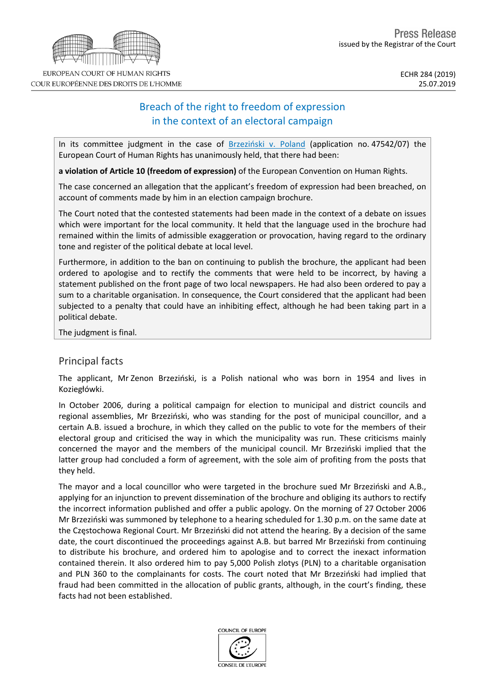# Breach of the right to freedom of expression in the context of an electoral campaign

In its committee judgment in the case of [Brzeziński](http://hudoc.echr.coe.int/eng?i=001-194958) v. Poland (application no. 47542/07) the European Court of Human Rights has unanimously held, that there had been:

**a violation of Article 10 (freedom of expression)** of the European Convention on Human Rights.

The case concerned an allegation that the applicant's freedom of expression had been breached, on account of comments made by him in an election campaign brochure.

The Court noted that the contested statements had been made in the context of a debate on issues which were important for the local community. It held that the language used in the brochure had remained within the limits of admissible exaggeration or provocation, having regard to the ordinary tone and register of the political debate at local level.

Furthermore, in addition to the ban on continuing to publish the brochure, the applicant had been ordered to apologise and to rectify the comments that were held to be incorrect, by having a statement published on the front page of two local newspapers. He had also been ordered to pay a sum to a charitable organisation. In consequence, the Court considered that the applicant had been subjected to a penalty that could have an inhibiting effect, although he had been taking part in a political debate.

The judgment is final.

## Principal facts

The applicant, Mr Zenon Brzeziński, is a Polish national who was born in 1954 and lives in Koziegłówki.

In October 2006, during a political campaign for election to municipal and district councils and regional assemblies, Mr Brzeziński, who was standing for the post of municipal councillor, and a certain A.B. issued a brochure, in which they called on the public to vote for the members of their electoral group and criticised the way in which the municipality was run. These criticisms mainly concerned the mayor and the members of the municipal council. Mr Brzeziński implied that the latter group had concluded a form of agreement, with the sole aim of profiting from the posts that they held.

The mayor and a local councillor who were targeted in the brochure sued Mr Brzeziński and A.B., applying for an injunction to prevent dissemination of the brochure and obliging its authors to rectify the incorrect information published and offer a public apology. On the morning of 27 October 2006 Mr Brzeziński was summoned by telephone to a hearing scheduled for 1.30 p.m. on the same date at the Częstochowa Regional Court. Mr Brzeziński did not attend the hearing. By a decision of the same date, the court discontinued the proceedings against A.B. but barred Mr Brzeziński from continuing to distribute his brochure, and ordered him to apologise and to correct the inexact information contained therein. It also ordered him to pay 5,000 Polish zlotys (PLN) to a charitable organisation and PLN 360 to the complainants for costs. The court noted that Mr Brzeziński had implied that fraud had been committed in the allocation of public grants, although, in the court's finding, these facts had not been established.



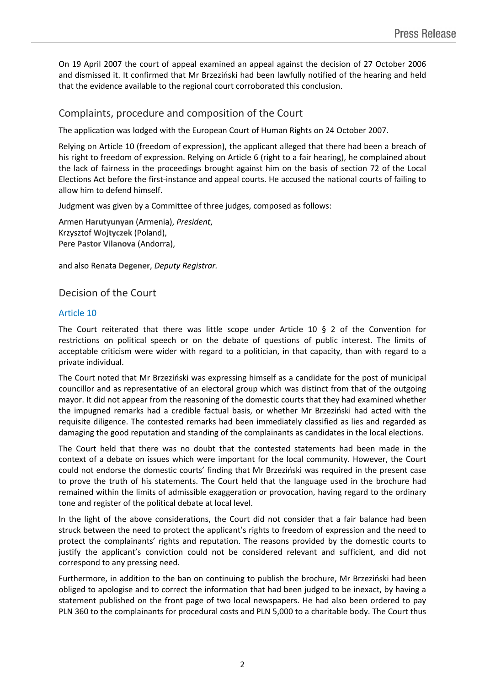On 19 April 2007 the court of appeal examined an appeal against the decision of 27 October 2006 and dismissed it. It confirmed that Mr Brzeziński had been lawfully notified of the hearing and held that the evidence available to the regional court corroborated this conclusion.

### Complaints, procedure and composition of the Court

The application was lodged with the European Court of Human Rights on 24 October 2007.

Relying on Article 10 (freedom of expression), the applicant alleged that there had been a breach of his right to freedom of expression. Relying on Article 6 (right to a fair hearing), he complained about the lack of fairness in the proceedings brought against him on the basis of section 72 of the Local Elections Act before the first-instance and appeal courts. He accused the national courts of failing to allow him to defend himself.

Judgment was given by a Committee of three judges, composed as follows:

Armen **Harutyunyan** (Armenia), *President*, Krzysztof **Wojtyczek** (Poland), Pere **Pastor Vilanova** (Andorra),

and also Renata **Degener**, *Deputy Registrar.*

### Decision of the Court

#### Article 10

The Court reiterated that there was little scope under Article 10  $\S$  2 of the Convention for restrictions on political speech or on the debate of questions of public interest. The limits of acceptable criticism were wider with regard to a politician, in that capacity, than with regard to a private individual.

The Court noted that Mr Brzeziński was expressing himself as a candidate for the post of municipal councillor and as representative of an electoral group which was distinct from that of the outgoing mayor. It did not appear from the reasoning of the domestic courts that they had examined whether the impugned remarks had a credible factual basis, or whether Mr Brzeziński had acted with the requisite diligence. The contested remarks had been immediately classified as lies and regarded as damaging the good reputation and standing of the complainants as candidates in the local elections.

The Court held that there was no doubt that the contested statements had been made in the context of a debate on issues which were important for the local community. However, the Court could not endorse the domestic courts' finding that Mr Brzeziński was required in the present case to prove the truth of his statements. The Court held that the language used in the brochure had remained within the limits of admissible exaggeration or provocation, having regard to the ordinary tone and register of the political debate at local level.

In the light of the above considerations, the Court did not consider that a fair balance had been struck between the need to protect the applicant's rights to freedom of expression and the need to protect the complainants' rights and reputation. The reasons provided by the domestic courts to justify the applicant's conviction could not be considered relevant and sufficient, and did not correspond to any pressing need.

Furthermore, in addition to the ban on continuing to publish the brochure, Mr Brzeziński had been obliged to apologise and to correct the information that had been judged to be inexact, by having a statement published on the front page of two local newspapers. He had also been ordered to pay PLN 360 to the complainants for procedural costs and PLN 5,000 to a charitable body. The Court thus